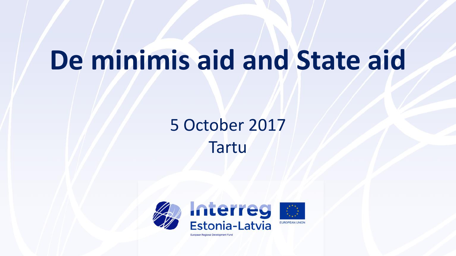# **De minimis aid and State aid**

## 5 October 2017 Tartu

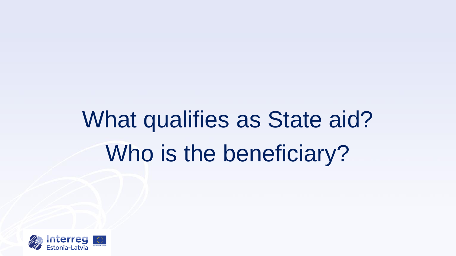# What qualifies as State aid? Who is the beneficiary?

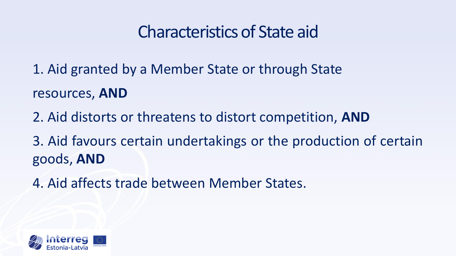## Characteristics of State aid

1. Aid granted by a Member State or through State resources, **AND**

2. Aid distorts or threatens to distort competition, **AND**

3. Aid favours certain undertakings or the production of certain goods, **AND**

4. Aid affects trade between Member States.

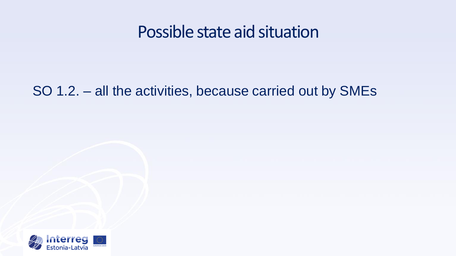#### Possible state aid situation

#### SO 1.2. – all the activities, because carried out by SMEs

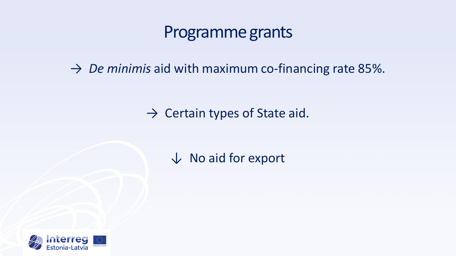#### Programme grants

 $\rightarrow$  *De minimis* aid with maximum co-financing rate 85%.

 $\rightarrow$  Certain types of State aid.

↓ No aid for export

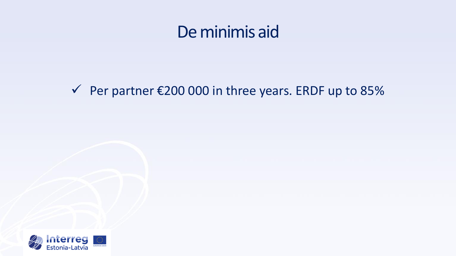#### De minimis aid

#### $\checkmark$  Per partner €200 000 in three years. ERDF up to 85%

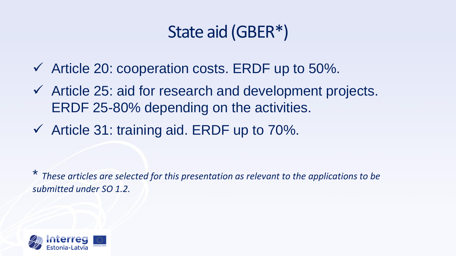## State aid (GBER\*)

- $\checkmark$  Article 20: cooperation costs. ERDF up to 50%.
- $\checkmark$  Article 25: aid for research and development projects. ERDF 25-80% depending on the activities.
- $\checkmark$  Article 31: training aid. ERDF up to 70%.

\* *These articles are selected for this presentation as relevant to the applications to be submitted under SO 1.2.*

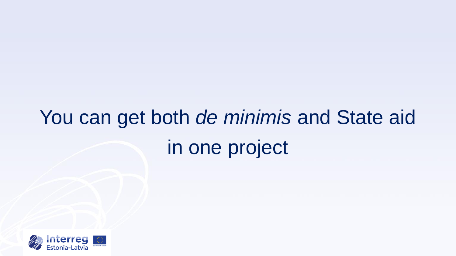# You can get both *de minimis* and State aid in one project

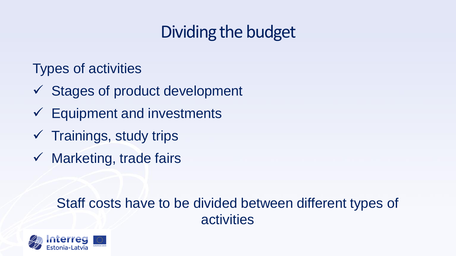# Dividing the budget

Types of activities

- $\checkmark$  Stages of product development
- $\checkmark$  Equipment and investments
- $\checkmark$  Trainings, study trips
- $\checkmark$  Marketing, trade fairs

#### Staff costs have to be divided between different types of activities

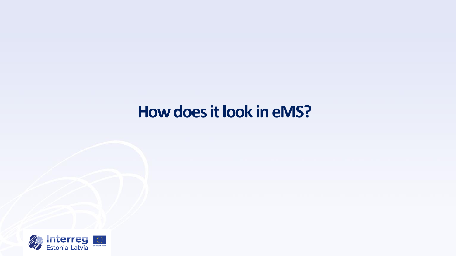### **How does it look in eMS?**

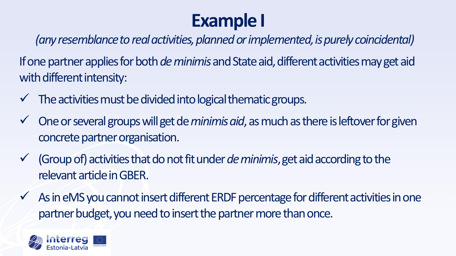# **Example I**

*(any resemblance to real activities, planned or implemented, is purely coincidental)* 

If one partner applies for both *de minimis* and State aid, different activities may get aid with different intensity:

- The activities must be divided into logical thematic groups.
- $\checkmark$  One or several groups will get de *minimis aid*, as much as there is leftover for given concrete partner organisation.
- $\checkmark$  (Group of) activities that do not fit under *de minimis*, get aid according to the relevant article in GBER.
- $\checkmark$  As in eMS you cannot insert different ERDF percentage for different activities in one partner budget, you need to insert the partner more than once.

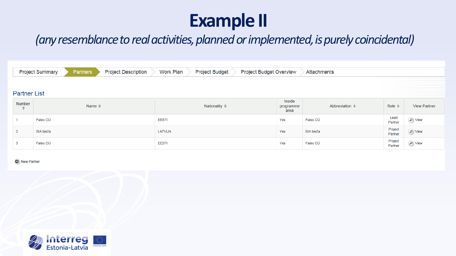# **Example II**

#### *(any resemblance to real activities, planned or implemented, is purely coincidental)*

|                              | Partners<br><b>Project Summary</b><br><b>Project Description</b> | Work Plan<br><b>Project Budget</b> | Project Budget Overview     | Attachments            |                        |                                 |  |  |  |  |  |  |  |  |
|------------------------------|------------------------------------------------------------------|------------------------------------|-----------------------------|------------------------|------------------------|---------------------------------|--|--|--|--|--|--|--|--|
|                              |                                                                  |                                    |                             |                        |                        |                                 |  |  |  |  |  |  |  |  |
|                              | <b>Partner List</b>                                              |                                    |                             |                        |                        |                                 |  |  |  |  |  |  |  |  |
| Number<br>$\hat{\mathbf{v}}$ | Name $\hat{\diamond}$                                            | Nationality ≎                      | Inside<br>programme<br>area | Abbreviation $\hat{z}$ | Role $\Leftrightarrow$ | View Partner                    |  |  |  |  |  |  |  |  |
|                              | Paleo OÜ                                                         | <b>EESTI</b>                       | Yes                         | Paleo OÜ               | Lead<br>Partner        | $\oslash$ View                  |  |  |  |  |  |  |  |  |
|                              | SIA Meža                                                         | LATVIJA                            | Yes                         | SIA Meža               | Project<br>Partner     | $\textcircled{\textsf{1}}$ View |  |  |  |  |  |  |  |  |
|                              | Paleo OÜ                                                         | <b>EESTI</b>                       | Yes                         | Paleo OÜ               | Project<br>Partner     | $\oslash$ View                  |  |  |  |  |  |  |  |  |

O New Partner

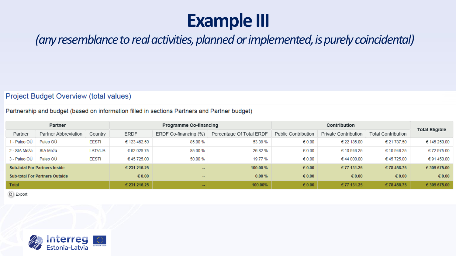# **Example III**

#### *(anyresemblancetoreal activities, plannedorimplemented, ispurelycoincidental)*

#### Project Budget Overview (total values)

#### Partnership and budget (based on information filled in sections Partners and Partner budget)

| Partner                               |                      |              | Programme Co-financing |                       |                          | Contribution        |                      |                           | <b>Total Eligible</b> |
|---------------------------------------|----------------------|--------------|------------------------|-----------------------|--------------------------|---------------------|----------------------|---------------------------|-----------------------|
| Partner                               | Partner Abbreviation | Country      | <b>ERDF</b>            | ERDF Co-financing (%) | Percentage Of Total ERDF | Public Contribution | Private Contribution | <b>Total Contribution</b> |                       |
| I - Paleo OÜ                          | Paleo OÜ             | <b>EESTI</b> | € 123 462.50           | 85.00 %               | 53.39 %                  | € 0.00              | € 22 185.00          | € 21 787.50               | € 145 250.00          |
| 2 - SIA Meža                          | SIA Meža             | LATVIJA      | € 62 028.75            | 85.00 %               | 26.82 %                  | € 0.00              | € 10 946.25          | € 10 946.25               | €72975.00             |
| 3 - Paleo OÜ                          | Paleo OÜ             | <b>EESTI</b> | €45725.00              | 50.00 %               | 19.77 %                  | € 0.00              | €44 000.00           | €45725.00                 | € 91 450.00           |
| <b>Sub-total For Partners Inside</b>  |                      |              | € 231 216.25           | $\cdots$              | 100.00 %                 | $\epsilon$ 0.00     | € 77 131.25          | €78 458.75                | € 309 675.00          |
| <b>Sub-total For Partners Outside</b> |                      |              | $\epsilon$ 0.00        | --                    | 0.00%                    | $\epsilon$ 0.00     | $\epsilon$ 0.00      | $\epsilon$ 0.00           | € 0.00                |
| <b>Total</b>                          |                      |              | € 231 216.25           | --                    | 100.00%                  | $\epsilon$ 0.00     | € 77 131.25          | €78 458.75                | € 309 675.00          |

**B** Export

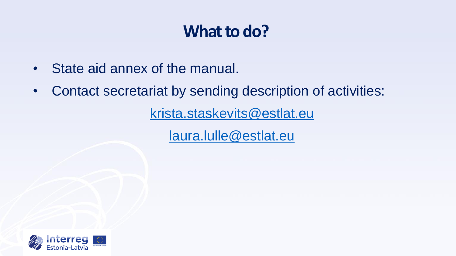## **What to do?**

- State aid annex of the manual.
- Contact secretariat by sending description of activities:

[krista.staskevits@estlat.eu](mailto:helena.jarviste@estlat.eu)

[laura.lulle@estlat.eu](mailto:laura.lulle@estlat.eu)